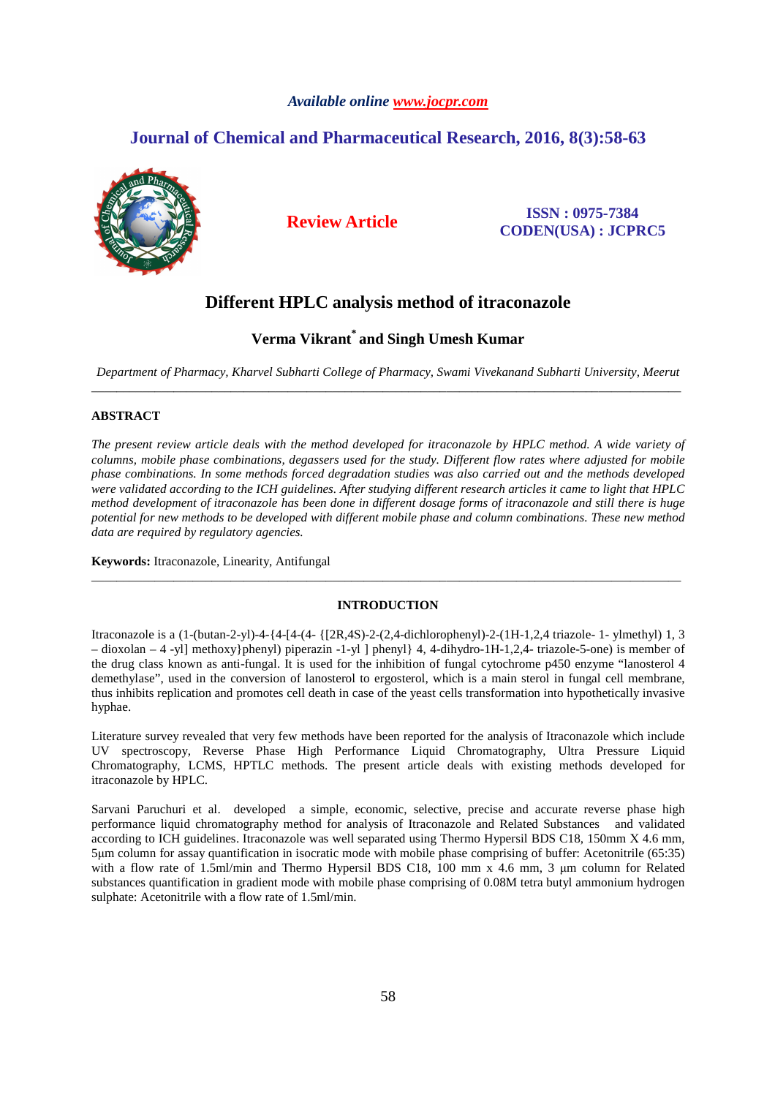### *Available online www.jocpr.com*

# **Journal of Chemical and Pharmaceutical Research, 2016, 8(3):58-63**



**Review Article ISSN : 0975-7384 CODEN(USA) : JCPRC5**

# **Different HPLC analysis method of itraconazole**

## **Verma Vikrant\* and Singh Umesh Kumar**

*Department of Pharmacy, Kharvel Subharti College of Pharmacy, Swami Vivekanand Subharti University, Meerut*  \_\_\_\_\_\_\_\_\_\_\_\_\_\_\_\_\_\_\_\_\_\_\_\_\_\_\_\_\_\_\_\_\_\_\_\_\_\_\_\_\_\_\_\_\_\_\_\_\_\_\_\_\_\_\_\_\_\_\_\_\_\_\_\_\_\_\_\_\_\_\_\_\_\_\_\_\_\_\_\_\_\_\_\_\_\_\_\_\_\_\_\_\_

### **ABSTRACT**

*The present review article deals with the method developed for itraconazole by HPLC method. A wide variety of columns, mobile phase combinations, degassers used for the study. Different flow rates where adjusted for mobile phase combinations. In some methods forced degradation studies was also carried out and the methods developed were validated according to the ICH guidelines. After studying different research articles it came to light that HPLC method development of itraconazole has been done in different dosage forms of itraconazole and still there is huge potential for new methods to be developed with different mobile phase and column combinations. These new method data are required by regulatory agencies.* 

**Keywords:** Itraconazole, Linearity, Antifungal

### **INTRODUCTION**

\_\_\_\_\_\_\_\_\_\_\_\_\_\_\_\_\_\_\_\_\_\_\_\_\_\_\_\_\_\_\_\_\_\_\_\_\_\_\_\_\_\_\_\_\_\_\_\_\_\_\_\_\_\_\_\_\_\_\_\_\_\_\_\_\_\_\_\_\_\_\_\_\_\_\_\_\_\_\_\_\_\_\_\_\_\_\_\_\_\_\_\_\_

Itraconazole is a (1-(butan-2-yl)-4-{4-[4-(4- {[2R,4S)-2-(2,4-dichlorophenyl)-2-(1H-1,2,4 triazole- 1- ylmethyl) 1, 3 – dioxolan – 4 -yl] methoxy}phenyl) piperazin -1-yl ] phenyl} 4, 4-dihydro-1H-1,2,4- triazole-5-one) is member of the drug class known as anti-fungal. It is used for the inhibition of fungal cytochrome p450 enzyme "lanosterol 4 demethylase", used in the conversion of lanosterol to ergosterol, which is a main sterol in fungal cell membrane, thus inhibits replication and promotes cell death in case of the yeast cells transformation into hypothetically invasive hyphae.

Literature survey revealed that very few methods have been reported for the analysis of Itraconazole which include UV spectroscopy, Reverse Phase High Performance Liquid Chromatography, Ultra Pressure Liquid Chromatography, LCMS, HPTLC methods. The present article deals with existing methods developed for itraconazole by HPLC.

Sarvani Paruchuri et al. developed a simple, economic, selective, precise and accurate reverse phase high performance liquid chromatography method for analysis of Itraconazole and Related Substances and validated according to ICH guidelines. Itraconazole was well separated using Thermo Hypersil BDS C18, 150mm Χ 4.6 mm, 5µm column for assay quantification in isocratic mode with mobile phase comprising of buffer: Acetonitrile (65:35) with a flow rate of 1.5ml/min and Thermo Hypersil BDS C18, 100 mm x 4.6 mm, 3 µm column for Related substances quantification in gradient mode with mobile phase comprising of 0.08M tetra butyl ammonium hydrogen sulphate: Acetonitrile with a flow rate of 1.5ml/min.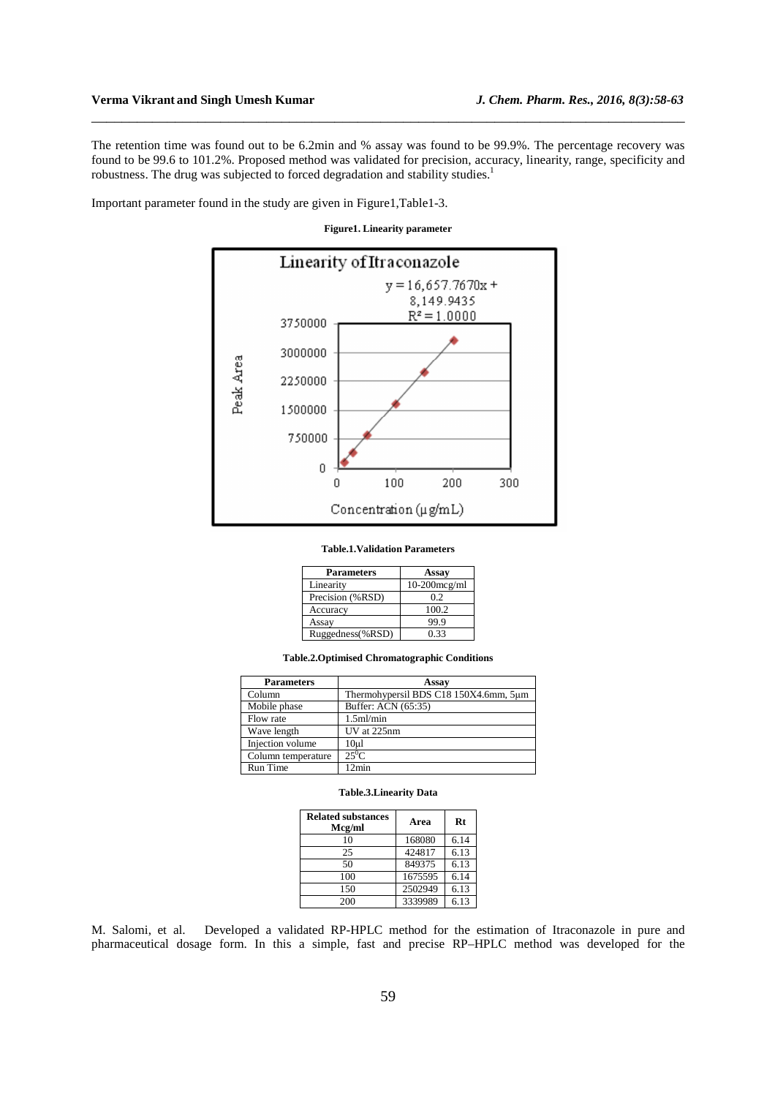## **Verma Vikrant and Singh Umesh Kumar** *J. Chem. Pharm. Res., 2016, 8(3):58-63*

The retention time was found out to be 6.2min and % assay was found to be 99.9%. The percentage recovery was found to be 99.6 to 101.2%. Proposed method was validated for precision, accuracy, linearity, range, specificity and robustness. The drug was subjected to forced degradation and stability studies.<sup>1</sup>

\_\_\_\_\_\_\_\_\_\_\_\_\_\_\_\_\_\_\_\_\_\_\_\_\_\_\_\_\_\_\_\_\_\_\_\_\_\_\_\_\_\_\_\_\_\_\_\_\_\_\_\_\_\_\_\_\_\_\_\_\_\_\_\_\_\_\_\_\_\_\_\_\_\_\_\_\_\_

Important parameter found in the study are given in Figure1,Table1-3.

**Figure1. Linearity parameter** 



#### **Table.1.Validation Parameters**

| <b>Parameters</b> | Assay           |
|-------------------|-----------------|
| Linearity         | $10-200$ mcg/ml |
| Precision (%RSD)  | 02              |
| Accuracy          | 100.2           |
| Assay             | 99.9            |
| Ruggedness(%RSD)  | 0.33            |

**Table.2.Optimised Chromatographic Conditions** 

| <b>Parameters</b>  | Assay                                 |
|--------------------|---------------------------------------|
| Column             | Thermohypersil BDS C18 150X4.6mm, 5um |
| Mobile phase       | Buffer: ACN (65:35)                   |
| Flow rate          | $1.5$ ml/min                          |
| Wave length        | UV at 225nm                           |
| Injection volume   | 10 <sub>u</sub>                       |
| Column temperature | $25^0C$                               |
| Run Time           | 12min                                 |

#### **Table.3.Linearity Data**

| <b>Related substances</b><br>Mcg/ml | Area    | Rt   |
|-------------------------------------|---------|------|
| 10                                  | 168080  | 6.14 |
| 25                                  | 424817  | 6.13 |
| 50                                  | 849375  | 6.13 |
| 100                                 | 1675595 | 6.14 |
| 150                                 | 2502949 | 6.13 |
| 200                                 | 3339989 | 6.13 |

M. Salomi, et al. Developed a validated RP-HPLC method for the estimation of Itraconazole in pure and pharmaceutical dosage form. In this a simple, fast and precise RP–HPLC method was developed for the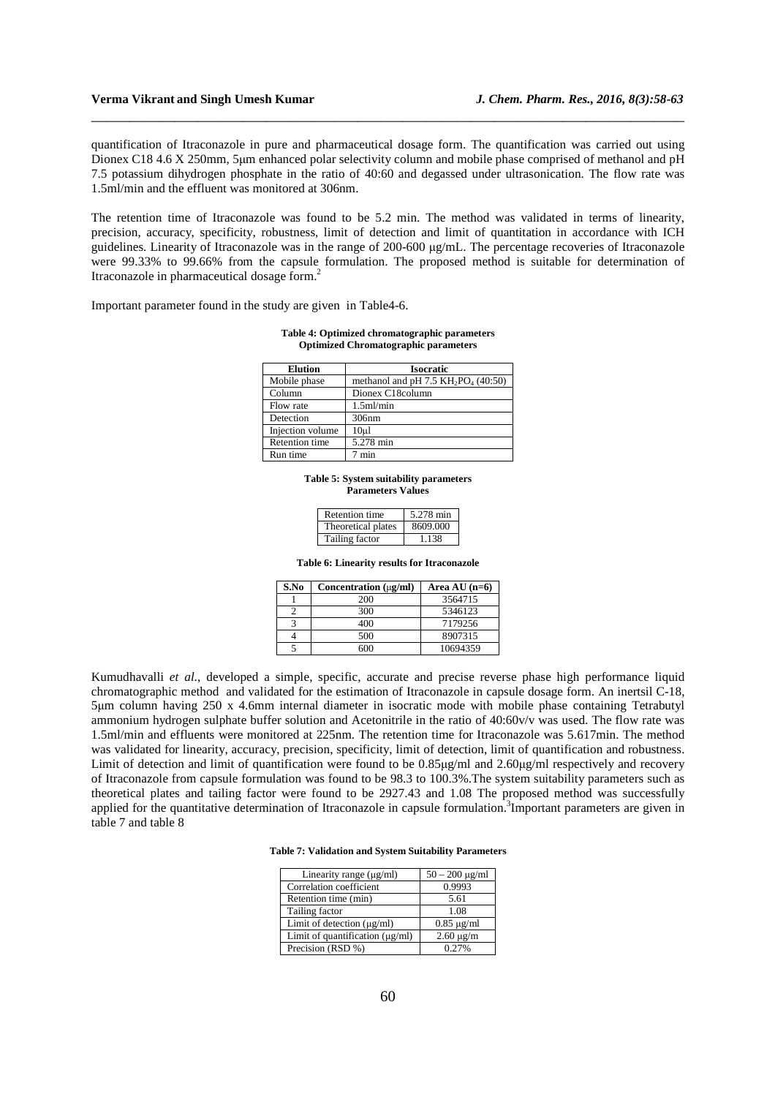### **Verma Vikrant and Singh Umesh Kumar** *J. Chem. Pharm. Res., 2016, 8(3):58-63*

quantification of Itraconazole in pure and pharmaceutical dosage form. The quantification was carried out using Dionex C18 4.6 X 250mm, 5µm enhanced polar selectivity column and mobile phase comprised of methanol and pH 7.5 potassium dihydrogen phosphate in the ratio of 40:60 and degassed under ultrasonication. The flow rate was 1.5ml/min and the effluent was monitored at 306nm.

\_\_\_\_\_\_\_\_\_\_\_\_\_\_\_\_\_\_\_\_\_\_\_\_\_\_\_\_\_\_\_\_\_\_\_\_\_\_\_\_\_\_\_\_\_\_\_\_\_\_\_\_\_\_\_\_\_\_\_\_\_\_\_\_\_\_\_\_\_\_\_\_\_\_\_\_\_\_

The retention time of Itraconazole was found to be 5.2 min. The method was validated in terms of linearity, precision, accuracy, specificity, robustness, limit of detection and limit of quantitation in accordance with ICH guidelines. Linearity of Itraconazole was in the range of 200-600 µg/mL. The percentage recoveries of Itraconazole were 99.33% to 99.66% from the capsule formulation. The proposed method is suitable for determination of Itraconazole in pharmaceutical dosage form.<sup>2</sup>

Important parameter found in the study are given in Table4-6.

| <b>Elution</b>   | <b>Isocratic</b>                       |
|------------------|----------------------------------------|
| Mobile phase     | methanol and pH 7.5 $KH_2PO_4$ (40:50) |
| Column           | Dionex C18column                       |
| Flow rate        | $1.5$ ml/min                           |
| Detection        | 306nm                                  |
| Injection volume | 10 <sub>µ</sub>                        |
| Retention time   | 5.278 min                              |
| Run time         | min                                    |

#### **Table 4: Optimized chromatographic parameters Optimized Chromatographic parameters**

**Table 5: System suitability parameters Parameters Values** 

| Retention time     | 5.278 min |
|--------------------|-----------|
| Theoretical plates | 8609.000  |
| Tailing factor     | 1.138     |

**Table 6: Linearity results for Itraconazole** 

| S.No | Concentration $(\mu g/ml)$ | Area AU $(n=6)$ |
|------|----------------------------|-----------------|
|      | 200                        | 3564715         |
|      | 300                        | 5346123         |
|      | 400                        | 7179256         |
|      | 500                        | 8907315         |
|      | ഹ                          | 10694359        |

Kumudhavalli *et al.*, developed a simple, specific, accurate and precise reverse phase high performance liquid chromatographic method and validated for the estimation of Itraconazole in capsule dosage form. An inertsil C-18, 5µm column having 250 x 4.6mm internal diameter in isocratic mode with mobile phase containing Tetrabutyl ammonium hydrogen sulphate buffer solution and Acetonitrile in the ratio of 40:60v/v was used. The flow rate was 1.5ml/min and effluents were monitored at 225nm. The retention time for Itraconazole was 5.617min. The method was validated for linearity, accuracy, precision, specificity, limit of detection, limit of quantification and robustness. Limit of detection and limit of quantification were found to be  $0.85\mu\text{g/ml}$  and  $2.60\mu\text{g/ml}$  respectively and recovery of Itraconazole from capsule formulation was found to be 98.3 to 100.3%.The system suitability parameters such as theoretical plates and tailing factor were found to be 2927.43 and 1.08 The proposed method was successfully applied for the quantitative determination of Itraconazole in capsule formulation.<sup>3</sup>Important parameters are given in table 7 and table 8

**Table 7: Validation and System Suitability Parameters**

| Linearity range $(\mu g/ml)$         | $50 - 200 \mu g/ml$ |
|--------------------------------------|---------------------|
| Correlation coefficient              | 0.9993              |
| Retention time (min)                 | 5.61                |
| Tailing factor                       | 1.08                |
| Limit of detection (µg/ml)           | $0.85 \mu g/ml$     |
| Limit of quantification $(\mu g/ml)$ | $2.60 \mu g/m$      |
| Precision (RSD %)                    | 0.27%               |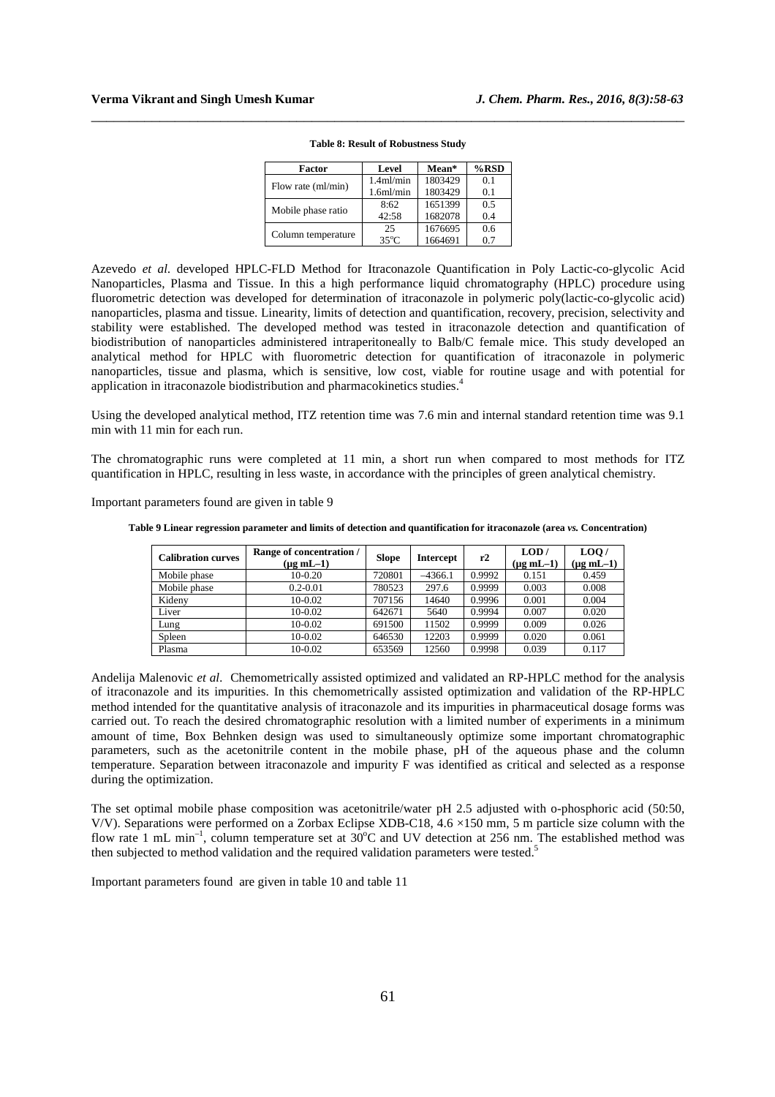| Factor             | Level                 | Mean*   | $%$ RSD |
|--------------------|-----------------------|---------|---------|
| Flow rate (ml/min) | $1.4$ ml/min          | 1803429 | 0.1     |
|                    | 1.6 <sub>m</sub> /min | 1803429 | 0.1     |
| Mobile phase ratio | 8:62                  | 1651399 | 0.5     |
|                    | 42:58                 | 1682078 | 0.4     |
|                    | 25                    | 1676695 | 0.6     |
| Column temperature | $35^{\circ}$ C        | 1664691 | 07      |

**Table 8: Result of Robustness Study**

\_\_\_\_\_\_\_\_\_\_\_\_\_\_\_\_\_\_\_\_\_\_\_\_\_\_\_\_\_\_\_\_\_\_\_\_\_\_\_\_\_\_\_\_\_\_\_\_\_\_\_\_\_\_\_\_\_\_\_\_\_\_\_\_\_\_\_\_\_\_\_\_\_\_\_\_\_\_

Azevedo *et al.* developed HPLC-FLD Method for Itraconazole Quantification in Poly Lactic-co-glycolic Acid Nanoparticles, Plasma and Tissue. In this a high performance liquid chromatography (HPLC) procedure using fluorometric detection was developed for determination of itraconazole in polymeric poly(lactic-co-glycolic acid) nanoparticles, plasma and tissue. Linearity, limits of detection and quantification, recovery, precision, selectivity and stability were established. The developed method was tested in itraconazole detection and quantification of biodistribution of nanoparticles administered intraperitoneally to Balb/C female mice. This study developed an analytical method for HPLC with fluorometric detection for quantification of itraconazole in polymeric nanoparticles, tissue and plasma, which is sensitive, low cost, viable for routine usage and with potential for application in itraconazole biodistribution and pharmacokinetics studies.<sup>4</sup>

Using the developed analytical method, ITZ retention time was 7.6 min and internal standard retention time was 9.1 min with 11 min for each run.

The chromatographic runs were completed at 11 min, a short run when compared to most methods for ITZ quantification in HPLC, resulting in less waste, in accordance with the principles of green analytical chemistry.

Important parameters found are given in table 9

**Table 9 Linear regression parameter and limits of detection and quantification for itraconazole (area** *vs.* **Concentration)** 

| <b>Calibration curves</b> | Range of concentration /<br>$(\mu g \, mL-1)$ | <b>Slope</b> | <b>Intercept</b> | r2     | LOD/<br>$(\mu g \, mL-1)$ | LOO/<br>$(\mu g \text{ mL} - 1)$ |
|---------------------------|-----------------------------------------------|--------------|------------------|--------|---------------------------|----------------------------------|
| Mobile phase              | $10-0.20$                                     | 720801       | $-4366.1$        | 0.9992 | 0.151                     | 0.459                            |
| Mobile phase              | $0.2 - 0.01$                                  | 780523       | 297.6            | 0.9999 | 0.003                     | 0.008                            |
| Kideny                    | $10-0.02$                                     | 707156       | 14640            | 0.9996 | 0.001                     | 0.004                            |
| Liver                     | 10-0.02                                       | 642671       | 5640             | 0.9994 | 0.007                     | 0.020                            |
| Lung                      | $10-0.02$                                     | 691500       | 11502            | 0.9999 | 0.009                     | 0.026                            |
| Spleen                    | 10-0.02                                       | 646530       | 12203            | 0.9999 | 0.020                     | 0.061                            |
| Plasma                    | $10-0.02$                                     | 653569       | 12560            | 0.9998 | 0.039                     | 0.117                            |

Andelija Malenovic *et al.* Chemometrically assisted optimized and validated an RP-HPLC method for the analysis of itraconazole and its impurities. In this chemometrically assisted optimization and validation of the RP-HPLC method intended for the quantitative analysis of itraconazole and its impurities in pharmaceutical dosage forms was carried out. To reach the desired chromatographic resolution with a limited number of experiments in a minimum amount of time, Box Behnken design was used to simultaneously optimize some important chromatographic parameters, such as the acetonitrile content in the mobile phase, pH of the aqueous phase and the column temperature. Separation between itraconazole and impurity F was identified as critical and selected as a response during the optimization.

The set optimal mobile phase composition was acetonitrile/water pH 2.5 adjusted with o-phosphoric acid (50:50, V/V). Separations were performed on a Zorbax Eclipse XDB-C18, 4.6 ×150 mm, 5 m particle size column with the flow rate 1 mL min<sup>-1</sup>, column temperature set at  $30^{\circ}$ C and UV detection at 256 nm. The established method was then subjected to method validation and the required validation parameters were tested.<sup>5</sup>

Important parameters found are given in table 10 and table 11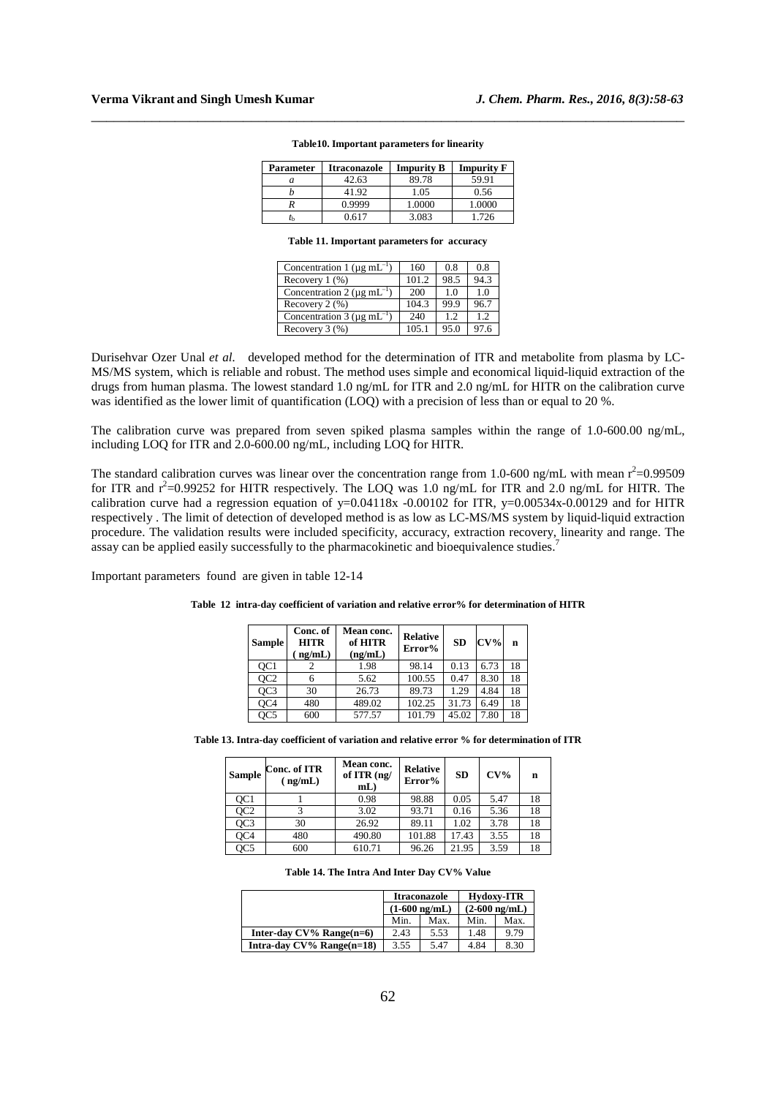| Parameter | <b>Itraconazole</b> | <b>Impurity B</b> | <b>Impurity F</b> |
|-----------|---------------------|-------------------|-------------------|
| а         | 42.63               | 89.78             | 59.91             |
|           | 41.92               | 1.05              | 0.56              |
|           | 0.9999              | 1.0000            | 1.0000            |
| τŀ        | በ 617               | 3.083             | 1.726             |

#### **Table10. Important parameters for linearity**

\_\_\_\_\_\_\_\_\_\_\_\_\_\_\_\_\_\_\_\_\_\_\_\_\_\_\_\_\_\_\_\_\_\_\_\_\_\_\_\_\_\_\_\_\_\_\_\_\_\_\_\_\_\_\_\_\_\_\_\_\_\_\_\_\_\_\_\_\_\_\_\_\_\_\_\_\_\_

**Table 11. Important parameters for accuracy** 

| Concentration 1 ( $\mu$ g mL <sup>-1</sup> ) | 160   | 0.8  | 0.8  |
|----------------------------------------------|-------|------|------|
| Recovery $1$ $(\%)$                          | 101.2 | 98.5 | 94.3 |
| Concentration 2 ( $\mu$ g mL <sup>-1</sup> ) | 200   | 1.0  | 1.0  |
| Recovery $2$ $(\%)$                          | 104.3 | 99.9 | 96.7 |
| Concentration 3 ( $\mu$ g mL <sup>-1</sup> ) | 240   | 1.2  | 1.2  |
| Recovery $3$ $(\%)$                          | 105.1 | 95.0 | 97.6 |

Durisehvar Ozer Unal *et al.* developed method for the determination of ITR and metabolite from plasma by LC-MS/MS system, which is reliable and robust. The method uses simple and economical liquid-liquid extraction of the drugs from human plasma. The lowest standard 1.0 ng/mL for ITR and 2.0 ng/mL for HITR on the calibration curve was identified as the lower limit of quantification (LOQ) with a precision of less than or equal to 20 %.

The calibration curve was prepared from seven spiked plasma samples within the range of 1.0-600.00 ng/mL, including LOQ for ITR and 2.0-600.00 ng/mL, including LOQ for HITR.

The standard calibration curves was linear over the concentration range from 1.0-600 ng/mL with mean  $r^2$ =0.99509 for ITR and  $r^2$ =0.99252 for HITR respectively. The LOQ was 1.0 ng/mL for ITR and 2.0 ng/mL for HITR. The calibration curve had a regression equation of y=0.04118x -0.00102 for ITR, y=0.00534x-0.00129 and for HITR respectively . The limit of detection of developed method is as low as LC-MS/MS system by liquid-liquid extraction procedure. The validation results were included specificity, accuracy, extraction recovery, linearity and range. The assay can be applied easily successfully to the pharmacokinetic and bioequivalence studies.<sup>7</sup>

Important parameters found are given in table 12-14

| <b>Sample</b>   | Conc. of<br><b>HITR</b><br>ng/mL | Mean conc.<br>of HITR<br>(ng/mL) | <b>Relative</b><br>Error% | <b>SD</b> | $\rm\bf{CV\%}$ | n  |
|-----------------|----------------------------------|----------------------------------|---------------------------|-----------|----------------|----|
| QC <sub>1</sub> |                                  | 1.98                             | 98.14                     | 0.13      | 6.73           | 18 |
| OC <sub>2</sub> | 6                                | 5.62                             | 100.55                    | 0.47      | 8.30           | 18 |
| OC <sub>3</sub> | 30                               | 26.73                            | 89.73                     | 1.29      | 4.84           | 18 |
| OC <sub>4</sub> | 480                              | 489.02                           | 102.25                    | 31.73     | 6.49           | 18 |
| OC <sub>5</sub> | 600                              | 577.57                           | 101.79                    | 45.02     | 7.80           | 18 |

**Table 12 intra-day coefficient of variation and relative error% for determination of HITR** 

**Table 13. Intra-day coefficient of variation and relative error % for determination of ITR** 

| Sample          | Conc. of ITR<br>(ng/mL) | Mean conc.<br>of ITR (ng/<br>$mL$ ) | <b>Relative</b><br>Error% | <b>SD</b> | $CV\%$ | n  |
|-----------------|-------------------------|-------------------------------------|---------------------------|-----------|--------|----|
| OC <sub>1</sub> |                         | 0.98                                | 98.88                     | 0.05      | 5.47   | 18 |
| OC2             |                         | 3.02                                | 93.71                     | 0.16      | 5.36   | 18 |
| OC3             | 30                      | 26.92                               | 89.11                     | 1.02      | 3.78   | 18 |
| OC4             | 480                     | 490.80                              | 101.88                    | 17.43     | 3.55   | 18 |
| QC5             | 600                     | 610.71                              | 96.26                     | 21.95     | 3.59   | 18 |

**Table 14. The Intra And Inter Day CV% Value** 

|                              | <b>Itraconazole</b>     |      | <b>Hydoxy-ITR</b>       |      |  |
|------------------------------|-------------------------|------|-------------------------|------|--|
|                              | $(1-600 \text{ ng/mL})$ |      | $(2-600 \text{ ng/mL})$ |      |  |
|                              | Min.                    | Max. | Min.                    | Max. |  |
| Inter-day $CV\%$ Range(n=6)  | 2.43                    | 5.53 | 1.48                    | 9.79 |  |
| Intra-day $CV\%$ Range(n=18) | 3.55                    | 5.47 | 4.84                    | 8.30 |  |